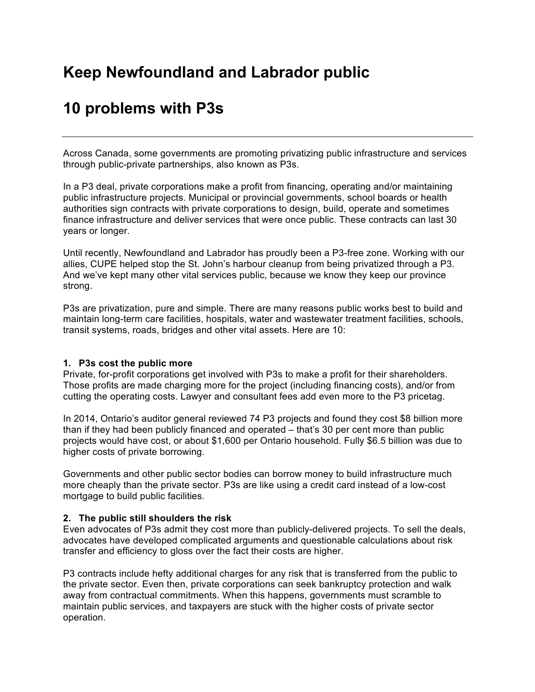# **Keep Newfoundland and Labrador public**

# **10 problems with P3s**

Across Canada, some governments are promoting privatizing public infrastructure and services through public-private partnerships, also known as P3s.

In a P3 deal, private corporations make a profit from financing, operating and/or maintaining public infrastructure projects. Municipal or provincial governments, school boards or health authorities sign contracts with private corporations to design, build, operate and sometimes finance infrastructure and deliver services that were once public. These contracts can last 30 years or longer.

Until recently, Newfoundland and Labrador has proudly been a P3-free zone. Working with our allies, CUPE helped stop the St. John's harbour cleanup from being privatized through a P3. And we've kept many other vital services public, because we know they keep our province strong.

P3s are privatization, pure and simple. There are many reasons public works best to build and maintain long-term care facilities, hospitals, water and wastewater treatment facilities, schools, transit systems, roads, bridges and other vital assets. Here are 10:

#### **1. P3s cost the public more**

Private, for-profit corporations get involved with P3s to make a profit for their shareholders. Those profits are made charging more for the project (including financing costs), and/or from cutting the operating costs. Lawyer and consultant fees add even more to the P3 pricetag.

In 2014, Ontario's auditor general reviewed 74 P3 projects and found they cost \$8 billion more than if they had been publicly financed and operated – that's 30 per cent more than public projects would have cost, or about \$1,600 per Ontario household. Fully \$6.5 billion was due to higher costs of private borrowing.

Governments and other public sector bodies can borrow money to build infrastructure much more cheaply than the private sector. P3s are like using a credit card instead of a low-cost mortgage to build public facilities.

#### **2. The public still shoulders the risk**

Even advocates of P3s admit they cost more than publicly-delivered projects. To sell the deals, advocates have developed complicated arguments and questionable calculations about risk transfer and efficiency to gloss over the fact their costs are higher.

P3 contracts include hefty additional charges for any risk that is transferred from the public to the private sector. Even then, private corporations can seek bankruptcy protection and walk away from contractual commitments. When this happens, governments must scramble to maintain public services, and taxpayers are stuck with the higher costs of private sector operation.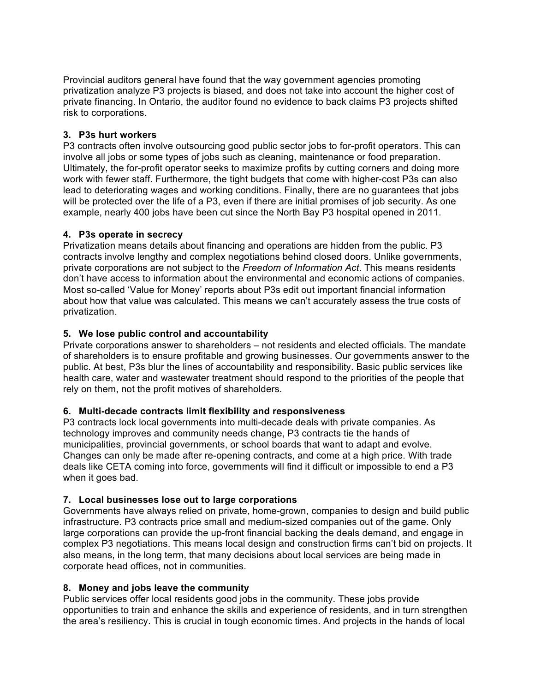Provincial auditors general have found that the way government agencies promoting privatization analyze P3 projects is biased, and does not take into account the higher cost of private financing. In Ontario, the auditor found no evidence to back claims P3 projects shifted risk to corporations.

## **3. P3s hurt workers**

P3 contracts often involve outsourcing good public sector jobs to for-profit operators. This can involve all jobs or some types of jobs such as cleaning, maintenance or food preparation. Ultimately, the for-profit operator seeks to maximize profits by cutting corners and doing more work with fewer staff. Furthermore, the tight budgets that come with higher-cost P3s can also lead to deteriorating wages and working conditions. Finally, there are no guarantees that jobs will be protected over the life of a P3, even if there are initial promises of job security. As one example, nearly 400 jobs have been cut since the North Bay P3 hospital opened in 2011.

## **4. P3s operate in secrecy**

Privatization means details about financing and operations are hidden from the public. P3 contracts involve lengthy and complex negotiations behind closed doors. Unlike governments, private corporations are not subject to the *Freedom of Information Act*. This means residents don't have access to information about the environmental and economic actions of companies. Most so-called 'Value for Money' reports about P3s edit out important financial information about how that value was calculated. This means we can't accurately assess the true costs of privatization.

## **5. We lose public control and accountability**

Private corporations answer to shareholders – not residents and elected officials. The mandate of shareholders is to ensure profitable and growing businesses. Our governments answer to the public. At best, P3s blur the lines of accountability and responsibility. Basic public services like health care, water and wastewater treatment should respond to the priorities of the people that rely on them, not the profit motives of shareholders.

## **6. Multi-decade contracts limit flexibility and responsiveness**

P3 contracts lock local governments into multi-decade deals with private companies. As technology improves and community needs change, P3 contracts tie the hands of municipalities, provincial governments, or school boards that want to adapt and evolve. Changes can only be made after re-opening contracts, and come at a high price. With trade deals like CETA coming into force, governments will find it difficult or impossible to end a P3 when it goes bad.

# **7. Local businesses lose out to large corporations**

Governments have always relied on private, home-grown, companies to design and build public infrastructure. P3 contracts price small and medium-sized companies out of the game. Only large corporations can provide the up-front financial backing the deals demand, and engage in complex P3 negotiations. This means local design and construction firms can't bid on projects. It also means, in the long term, that many decisions about local services are being made in corporate head offices, not in communities.

## **8. Money and jobs leave the community**

Public services offer local residents good jobs in the community. These jobs provide opportunities to train and enhance the skills and experience of residents, and in turn strengthen the area's resiliency. This is crucial in tough economic times. And projects in the hands of local